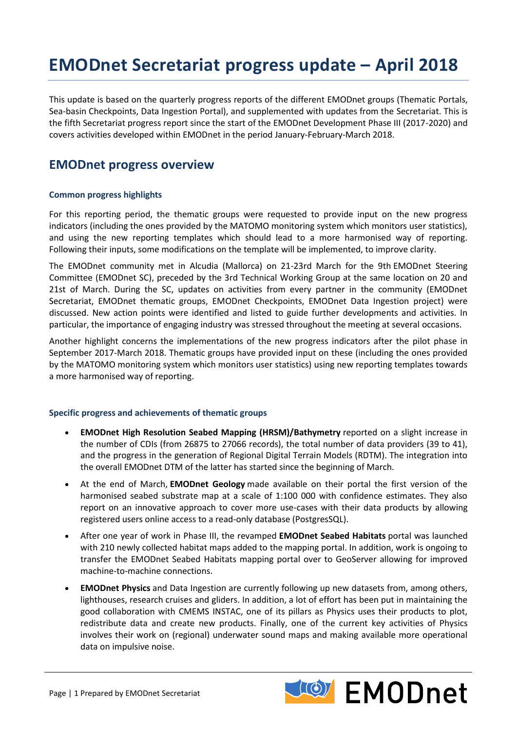# **EMODnet Secretariat progress update – April 2018**

This update is based on the quarterly progress reports of the different EMODnet groups (Thematic Portals, Sea-basin Checkpoints, Data Ingestion Portal), and supplemented with updates from the Secretariat. This is the fifth Secretariat progress report since the start of the EMODnet Development Phase III (2017-2020) and covers activities developed within EMODnet in the period January-February-March 2018.

## **EMODnet progress overview**

#### **Common progress highlights**

For this reporting period, the thematic groups were requested to provide input on the new progress indicators (including the ones provided by the MATOMO monitoring system which monitors user statistics), and using the new reporting templates which should lead to a more harmonised way of reporting. Following their inputs, some modifications on the template will be implemented, to improve clarity.

The EMODnet community met in Alcudia (Mallorca) on 21-23rd March for the 9th EMODnet Steering Committee (EMODnet SC), preceded by the 3rd Technical Working Group at the same location on 20 and 21st of March. During the SC, updates on activities from every partner in the community (EMODnet Secretariat, EMODnet thematic groups, EMODnet Checkpoints, EMODnet Data Ingestion project) were discussed. New action points were identified and listed to guide further developments and activities. In particular, the importance of engaging industry was stressed throughout the meeting at several occasions.

Another highlight concerns the implementations of the new progress indicators after the pilot phase in September 2017-March 2018. Thematic groups have provided input on these (including the ones provided by the MATOMO monitoring system which monitors user statistics) using new reporting templates towards a more harmonised way of reporting.

#### **Specific progress and achievements of thematic groups**

- **EMODnet High Resolution Seabed Mapping (HRSM)/Bathymetry** reported on a slight increase in the number of CDIs (from 26875 to 27066 records), the total number of data providers (39 to 41), and the progress in the generation of Regional Digital Terrain Models (RDTM). The integration into the overall EMODnet DTM of the latter has started since the beginning of March.
- At the end of March, **EMODnet Geology** made available on their portal the first version of the harmonised seabed substrate map at a scale of 1:100 000 with confidence estimates. They also report on an innovative approach to cover more use-cases with their data products by allowing registered users online access to a read-only database (PostgresSQL).
- After one year of work in Phase III, the revamped **EMODnet Seabed Habitats** portal was launched with 210 newly collected habitat maps added to the mapping portal. In addition, work is ongoing to transfer the EMODnet Seabed Habitats mapping portal over to GeoServer allowing for improved machine-to-machine connections.
- **EMODnet Physics** and Data Ingestion are currently following up new datasets from, among others, lighthouses, research cruises and gliders. In addition, a lot of effort has been put in maintaining the good collaboration with CMEMS INSTAC, one of its pillars as Physics uses their products to plot, redistribute data and create new products. Finally, one of the current key activities of Physics involves their work on (regional) underwater sound maps and making available more operational data on impulsive noise.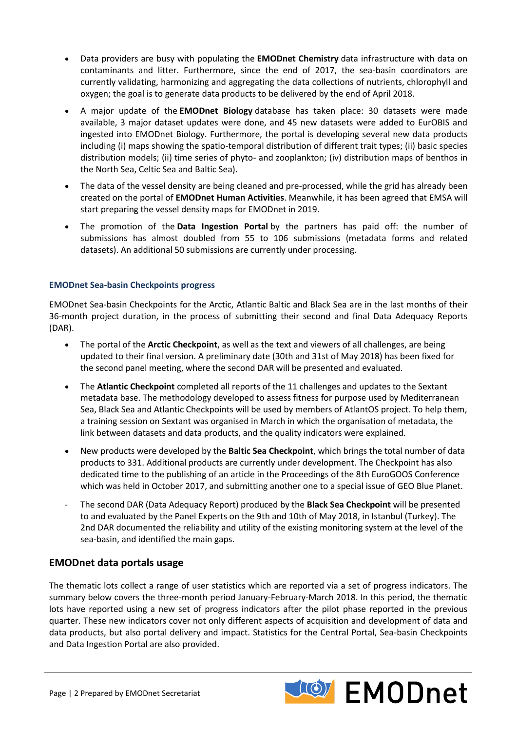- Data providers are busy with populating the **EMODnet Chemistry** data infrastructure with data on contaminants and litter. Furthermore, since the end of 2017, the sea-basin coordinators are currently validating, harmonizing and aggregating the data collections of nutrients, chlorophyll and oxygen; the goal is to generate data products to be delivered by the end of April 2018.
- A major update of the **EMODnet Biology** database has taken place: 30 datasets were made available, 3 major dataset updates were done, and 45 new datasets were added to EurOBIS and ingested into EMODnet Biology. Furthermore, the portal is developing several new data products including (i) maps showing the spatio-temporal distribution of different trait types; (ii) basic species distribution models; (ii) time series of phyto- and zooplankton; (iv) distribution maps of benthos in the North Sea, Celtic Sea and Baltic Sea).
- The data of the vessel density are being cleaned and pre-processed, while the grid has already been created on the portal of **EMODnet Human Activities**. Meanwhile, it has been agreed that EMSA will start preparing the vessel density maps for EMODnet in 2019.
- The promotion of the **Data Ingestion Portal** by the partners has paid off: the number of submissions has almost doubled from 55 to 106 submissions (metadata forms and related datasets). An additional 50 submissions are currently under processing.

#### **EMODnet Sea-basin Checkpoints progress**

EMODnet Sea-basin Checkpoints for the Arctic, Atlantic Baltic and Black Sea are in the last months of their 36-month project duration, in the process of submitting their second and final Data Adequacy Reports (DAR).

- The portal of the **Arctic Checkpoint**, as well as the text and viewers of all challenges, are being updated to their final version. A preliminary date (30th and 31st of May 2018) has been fixed for the second panel meeting, where the second DAR will be presented and evaluated.
- The **Atlantic Checkpoint** completed all reports of the 11 challenges and updates to the Sextant metadata base. The methodology developed to assess fitness for purpose used by Mediterranean Sea, Black Sea and Atlantic Checkpoints will be used by members of AtlantOS project. To help them, a training session on Sextant was organised in March in which the organisation of metadata, the link between datasets and data products, and the quality indicators were explained.
- New products were developed by the **Baltic Sea Checkpoint**, which brings the total number of data products to 331. Additional products are currently under development. The Checkpoint has also dedicated time to the publishing of an article in the Proceedings of the 8th EuroGOOS Conference which was held in October 2017, and submitting another one to a special issue of GEO Blue Planet.
- The second DAR (Data Adequacy Report) produced by the **Black Sea Checkpoint** will be presented to and evaluated by the Panel Experts on the 9th and 10th of May 2018, in Istanbul (Turkey). The 2nd DAR documented the reliability and utility of the existing monitoring system at the level of the sea-basin, and identified the main gaps.

## **EMODnet data portals usage**

The thematic lots collect a range of user statistics which are reported via a set of progress indicators. The summary below covers the three-month period January-February-March 2018. In this period, the thematic lots have reported using a new set of progress indicators after the pilot phase reported in the previous quarter. These new indicators cover not only different aspects of acquisition and development of data and data products, but also portal delivery and impact. Statistics for the Central Portal, Sea-basin Checkpoints and Data Ingestion Portal are also provided.

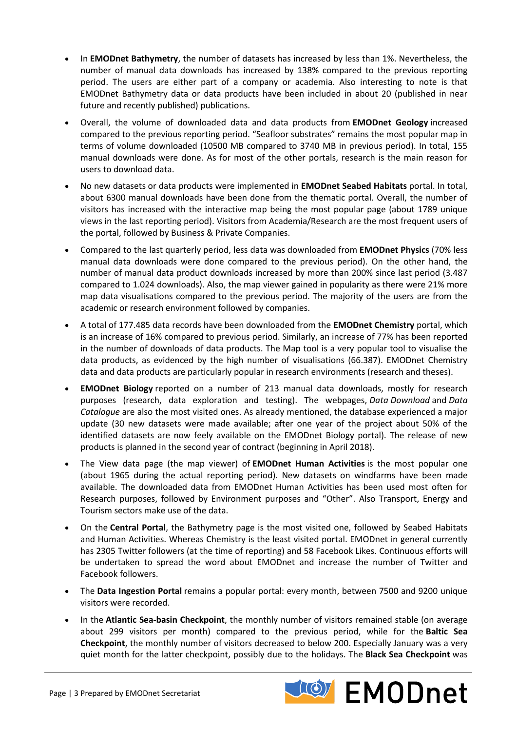- In **EMODnet Bathymetry**, the number of datasets has increased by less than 1%. Nevertheless, the number of manual data downloads has increased by 138% compared to the previous reporting period. The users are either part of a company or academia. Also interesting to note is that EMODnet Bathymetry data or data products have been included in about 20 (published in near future and recently published) publications.
- Overall, the volume of downloaded data and data products from **EMODnet Geology** increased compared to the previous reporting period. "Seafloor substrates" remains the most popular map in terms of volume downloaded (10500 MB compared to 3740 MB in previous period). In total, 155 manual downloads were done. As for most of the other portals, research is the main reason for users to download data.
- No new datasets or data products were implemented in **EMODnet Seabed Habitats** portal. In total, about 6300 manual downloads have been done from the thematic portal. Overall, the number of visitors has increased with the interactive map being the most popular page (about 1789 unique views in the last reporting period). Visitors from Academia/Research are the most frequent users of the portal, followed by Business & Private Companies.
- Compared to the last quarterly period, less data was downloaded from **EMODnet Physics** (70% less manual data downloads were done compared to the previous period). On the other hand, the number of manual data product downloads increased by more than 200% since last period (3.487 compared to 1.024 downloads). Also, the map viewer gained in popularity as there were 21% more map data visualisations compared to the previous period. The majority of the users are from the academic or research environment followed by companies.
- A total of 177.485 data records have been downloaded from the **EMODnet Chemistry** portal, which is an increase of 16% compared to previous period. Similarly, an increase of 77% has been reported in the number of downloads of data products. The Map tool is a very popular tool to visualise the data products, as evidenced by the high number of visualisations (66.387). EMODnet Chemistry data and data products are particularly popular in research environments (research and theses).
- **EMODnet Biology** reported on a number of 213 manual data downloads, mostly for research purposes (research, data exploration and testing). The webpages, *Data Download* and *Data Catalogue* are also the most visited ones. As already mentioned, the database experienced a major update (30 new datasets were made available; after one year of the project about 50% of the identified datasets are now feely available on the EMODnet Biology portal). The release of new products is planned in the second year of contract (beginning in April 2018).
- The View data page (the map viewer) of **EMODnet Human Activities** is the most popular one (about 1965 during the actual reporting period). New datasets on windfarms have been made available. The downloaded data from EMODnet Human Activities has been used most often for Research purposes, followed by Environment purposes and "Other". Also Transport, Energy and Tourism sectors make use of the data.
- On the **Central Portal**, the Bathymetry page is the most visited one, followed by Seabed Habitats and Human Activities. Whereas Chemistry is the least visited portal. EMODnet in general currently has 2305 Twitter followers (at the time of reporting) and 58 Facebook Likes. Continuous efforts will be undertaken to spread the word about EMODnet and increase the number of Twitter and Facebook followers.
- The **Data Ingestion Portal** remains a popular portal: every month, between 7500 and 9200 unique visitors were recorded.
- In the **Atlantic Sea-basin Checkpoint**, the monthly number of visitors remained stable (on average about 299 visitors per month) compared to the previous period, while for the **Baltic Sea Checkpoint**, the monthly number of visitors decreased to below 200. Especially January was a very quiet month for the latter checkpoint, possibly due to the holidays. The **Black Sea Checkpoint** was

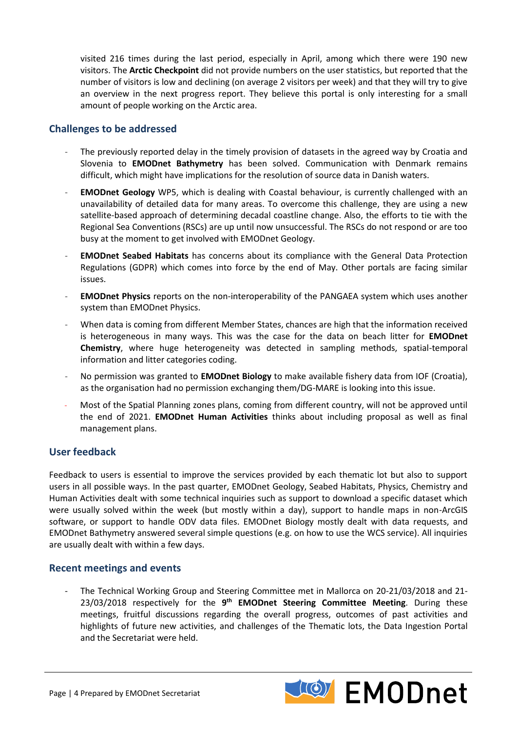visited 216 times during the last period, especially in April, among which there were 190 new visitors. The **Arctic Checkpoint** did not provide numbers on the user statistics, but reported that the number of visitors is low and declining (on average 2 visitors per week) and that they will try to give an overview in the next progress report. They believe this portal is only interesting for a small amount of people working on the Arctic area.

## **Challenges to be addressed**

- The previously reported delay in the timely provision of datasets in the agreed way by Croatia and Slovenia to **EMODnet Bathymetry** has been solved. Communication with Denmark remains difficult, which might have implications for the resolution of source data in Danish waters.
- **EMODnet Geology** WP5, which is dealing with Coastal behaviour, is currently challenged with an unavailability of detailed data for many areas. To overcome this challenge, they are using a new satellite-based approach of determining decadal coastline change. Also, the efforts to tie with the Regional Sea Conventions (RSCs) are up until now unsuccessful. The RSCs do not respond or are too busy at the moment to get involved with EMODnet Geology.
- **EMODnet Seabed Habitats** has concerns about its compliance with the General Data Protection Regulations (GDPR) which comes into force by the end of May. Other portals are facing similar issues.
- **EMODnet Physics** reports on the non-interoperability of the PANGAEA system which uses another system than EMODnet Physics.
- When data is coming from different Member States, chances are high that the information received is heterogeneous in many ways. This was the case for the data on beach litter for **EMODnet Chemistry**, where huge heterogeneity was detected in sampling methods, spatial-temporal information and litter categories coding.
- No permission was granted to **EMODnet Biology** to make available fishery data from IOF (Croatia), as the organisation had no permission exchanging them/DG-MARE is looking into this issue.
- Most of the Spatial Planning zones plans, coming from different country, will not be approved until the end of 2021. **EMODnet Human Activities** thinks about including proposal as well as final management plans.

## **User feedback**

Feedback to users is essential to improve the services provided by each thematic lot but also to support users in all possible ways. In the past quarter, EMODnet Geology, Seabed Habitats, Physics, Chemistry and Human Activities dealt with some technical inquiries such as support to download a specific dataset which were usually solved within the week (but mostly within a day), support to handle maps in non-ArcGIS software, or support to handle ODV data files. EMODnet Biology mostly dealt with data requests, and EMODnet Bathymetry answered several simple questions (e.g. on how to use the WCS service). All inquiries are usually dealt with within a few days.

## **Recent meetings and events**

- The Technical Working Group and Steering Committee met in Mallorca on 20-21/03/2018 and 21- 23/03/2018 respectively for the 9<sup>th</sup> EMODnet Steering Committee Meeting. During these meetings, fruitful discussions regarding the overall progress, outcomes of past activities and highlights of future new activities, and challenges of the Thematic lots, the Data Ingestion Portal and the Secretariat were held.